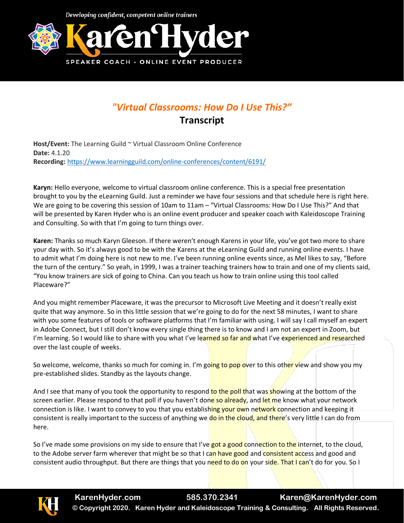Developing confident, competent online trainers



## *"Virtual Classrooms: How Do I Use This?"* **Transcript**

**Host/Event:** The Learning Guild ~ Virtual Classroom Online Conference **Date:** 4.1.20 **Recording:** <https://www.learningguild.com/online-conferences/content/6191/>

**Karyn:** Hello everyone, welcome to virtual classroom online conference. This is a special free presentation brought to you by the eLearning Guild. Just a reminder we have four sessions and that schedule here is right here. We are going to be covering this session of 10am to 11am – "Virtual Classrooms: How Do I Use This?" And that will be presented by Karen Hyder who is an online event producer and speaker coach with Kaleidoscope Training and Consulting. So with that I'm going to turn things over.

**Karen:** Thanks so much Karyn Gleeson. If there weren't enough Karens in your life, you've got two more to share your day with. So it's always good to be with the Karens at the eLearning Guild and running online events. I have to admit what I'm doing here is not new to me. I've been running online events since, as Mel likes to say, "Before the turn of the century." So yeah, in 1999, I was a trainer teaching trainers how to train and one of my clients said, "You know trainers are sick of going to China. Can you teach us how to train online using this tool called Placeware?"

And you might remember Placeware, it was the precursor to Microsoft Live Meeting and it doesn't really exist quite that way anymore. So in this little session that we're going to do for the next 58 minutes, I want to share with you some features of tools or software platforms that I'm familiar with using. I will say I call myself an expert in Adobe Connect, but I still don't know every single thing there is to know and I am not an expert in Zoom, but I'm learning. So I would like to share with you what I've learned so far and what I've experienced and researched over the last couple of weeks.

So welcome, welcome, thanks so much for coming in. I'm going to pop over to this other view and show you my pre-established slides. Standby as the layouts change.

And I see that many of you took the opportunity to respond to the poll that was showing at the bottom of the screen earlier. Please respond to that poll if you haven't done so already, and let me know what your network connection is like. I want to convey to you that you establishing your own network connection and keeping it consistent is really important to the success of anything we do in the cloud, and there's very little I can do from here.

So I've made some provisions on my side to ensure that I've got a good connection to the internet, to the cloud, to the Adobe server farm wherever that might be so that I can have good and consistent access and good and consistent audio throughput. But there are things that you need to do on your side. That I can't do for you. So I

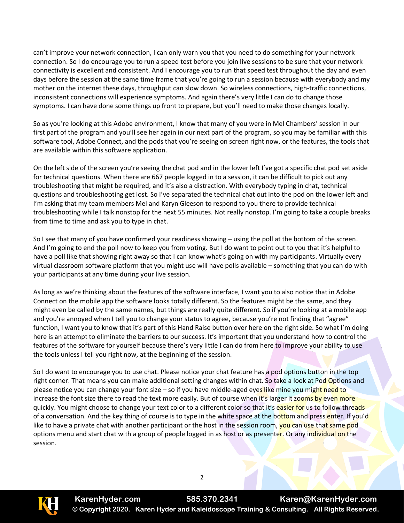can't improve your network connection, I can only warn you that you need to do something for your network connection. So I do encourage you to run a speed test before you join live sessions to be sure that your network connectivity is excellent and consistent. And I encourage you to run that speed test throughout the day and even days before the session at the same time frame that you're going to run a session because with everybody and my mother on the internet these days, throughput can slow down. So wireless connections, high-traffic connections, inconsistent connections will experience symptoms. And again there's very little I can do to change those symptoms. I can have done some things up front to prepare, but you'll need to make those changes locally.

So as you're looking at this Adobe environment, I know that many of you were in Mel Chambers' session in our first part of the program and you'll see her again in our next part of the program, so you may be familiar with this software tool, Adobe Connect, and the pods that you're seeing on screen right now, or the features, the tools that are available within this software application.

On the left side of the screen you're seeing the chat pod and in the lower left I've got a specific chat pod set aside for technical questions. When there are 667 people logged in to a session, it can be difficult to pick out any troubleshooting that might be required, and it's also a distraction. With everybody typing in chat, technical questions and troubleshooting get lost. So I've separated the technical chat out into the pod on the lower left and I'm asking that my team members Mel and Karyn Gleeson to respond to you there to provide technical troubleshooting while I talk nonstop for the next 55 minutes. Not really nonstop. I'm going to take a couple breaks from time to time and ask you to type in chat.

So I see that many of you have confirmed your readiness showing – using the poll at the bottom of the screen. And I'm going to end the poll now to keep you from voting. But I do want to point out to you that it's helpful to have a poll like that showing right away so that I can know what's going on with my participants. Virtually every virtual classroom software platform that you might use will have polls available – something that you can do with your participants at any time during your live session.

As long as we're thinking about the features of the software interface, I want you to also notice that in Adobe Connect on the mobile app the software looks totally different. So the features might be the same, and they might even be called by the same names, but things are really quite different. So if you're looking at a mobile app and you're annoyed when I tell you to change your status to agree, because you're not finding that "agree" function, I want you to know that it's part of this Hand Raise button over here on the right side. So what I'm doing here is an attempt to eliminate the barriers to our success. It's important that you understand how to control the features of the software for yourself because there's very little I can do from here to improve your ability to use the tools unless I tell you right now, at the beginning of the session.

So I do want to encourage you to use chat. Please notice your chat feature has a pod options button in the top right corner. That means you can make additional setting changes within chat. So take a look at Pod Options and please notice you can change your font size – so if you have middle-aged eyes like mine you might need to increase the font size there to read the text more easily. But of course when it's larger it zooms by even more quickly. You might choose to change your text color to a different color so that it's easier for us to follow threads of a conversation. And the key thing of course is to type in the white space at the bottom and press enter. If you'd like to have a private chat with another participant or the host in the session room, you can use that same pod options menu and start chat with a group of people logged in as host or as presenter. Or any individual on the session.



**KarenHyder.com 585.370.2341 Karen@KarenHyder.com © Copyright 2020. Karen Hyder and Kaleidoscope Training & Consulting. All Rights Reserved.**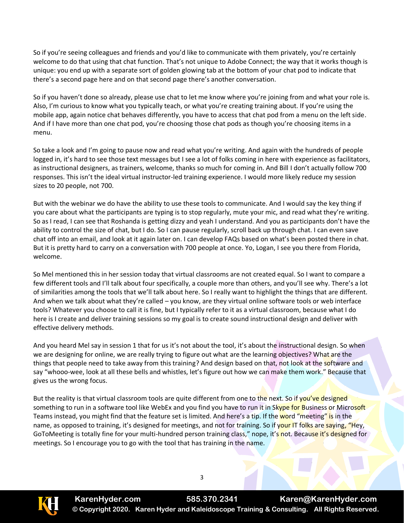So if you're seeing colleagues and friends and you'd like to communicate with them privately, you're certainly welcome to do that using that chat function. That's not unique to Adobe Connect; the way that it works though is unique: you end up with a separate sort of golden glowing tab at the bottom of your chat pod to indicate that there's a second page here and on that second page there's another conversation.

So if you haven't done so already, please use chat to let me know where you're joining from and what your role is. Also, I'm curious to know what you typically teach, or what you're creating training about. If you're using the mobile app, again notice chat behaves differently, you have to access that chat pod from a menu on the left side. And if I have more than one chat pod, you're choosing those chat pods as though you're choosing items in a menu.

So take a look and I'm going to pause now and read what you're writing. And again with the hundreds of people logged in, it's hard to see those text messages but I see a lot of folks coming in here with experience as facilitators, as instructional designers, as trainers, welcome, thanks so much for coming in. And Bill I don't actually follow 700 responses. This isn't the ideal virtual instructor-led training experience. I would more likely reduce my session sizes to 20 people, not 700.

But with the webinar we do have the ability to use these tools to communicate. And I would say the key thing if you care about what the participants are typing is to stop regularly, mute your mic, and read what they're writing. So as I read, I can see that Roshanda is getting dizzy and yeah I understand. And you as participants don't have the ability to control the size of chat, but I do. So I can pause regularly, scroll back up through chat. I can even save chat off into an email, and look at it again later on. I can develop FAQs based on what's been posted there in chat. But it is pretty hard to carry on a conversation with 700 people at once. Yo, Logan, I see you there from Florida, welcome.

So Mel mentioned this in her session today that virtual classrooms are not created equal. So I want to compare a few different tools and I'll talk about four specifically, a couple more than others, and you'll see why. There's a lot of similarities among the tools that we'll talk about here. So I really want to highlight the things that are different. And when we talk about what they're called – you know, are they virtual online software tools or web interface tools? Whatever you choose to call it is fine, but I typically refer to it as a virtual classroom, because what I do here is I create and deliver training sessions so my goal is to create sound instructional design and deliver with effective delivery methods.

And you heard Mel say in session 1 that for us it's not about the tool, it's about the instructional design. So when we are designing for online, we are really trying to figure out what are the learning objectives? What are the things that people need to take away from this training? And design based on that, not look at the software and say "whooo-wee, look at all these bells and whistles, let's figure out how we can make them work." Because that gives us the wrong focus.

But the reality is that virtual classroom tools are quite different from one to the next. So if you've designed something to run in a software tool like WebEx and you find you have to run it in Skype for Business or Microsoft Teams instead, you might find that the feature set is limited. And here's a tip. If the word "meeting" is in the name, as opposed to training, it's designed for meetings, and not for training. So if your IT folks are saying, "Hey, GoToMeeting is totally fine for your multi-hundred person training class," nope, it's not. Because it's designed for meetings. So I encourage you to go with the tool that has training in the name.

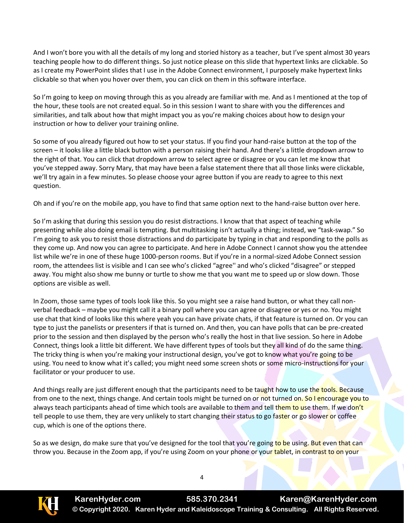And I won't bore you with all the details of my long and storied history as a teacher, but I've spent almost 30 years teaching people how to do different things. So just notice please on this slide that hypertext links are clickable. So as I create my PowerPoint slides that I use in the Adobe Connect environment, I purposely make hypertext links clickable so that when you hover over them, you can click on them in this software interface.

So I'm going to keep on moving through this as you already are familiar with me. And as I mentioned at the top of the hour, these tools are not created equal. So in this session I want to share with you the differences and similarities, and talk about how that might impact you as you're making choices about how to design your instruction or how to deliver your training online.

So some of you already figured out how to set your status. If you find your hand-raise button at the top of the screen – it looks like a little black button with a person raising their hand. And there's a little dropdown arrow to the right of that. You can click that dropdown arrow to select agree or disagree or you can let me know that you've stepped away. Sorry Mary, that may have been a false statement there that all those links were clickable, we'll try again in a few minutes. So please choose your agree button if you are ready to agree to this next question.

Oh and if you're on the mobile app, you have to find that same option next to the hand-raise button over here.

So I'm asking that during this session you do resist distractions. I know that that aspect of teaching while presenting while also doing email is tempting. But multitasking isn't actually a thing; instead, we "task-swap." So I'm going to ask you to resist those distractions and do participate by typing in chat and responding to the polls as they come up. And now you can agree to participate. And here in Adobe Connect I cannot show you the attendee list while we're in one of these huge 1000-person rooms. But if you're in a normal-sized Adobe Connect session room, the attendees list is visible and I can see who's clicked "agree'' and who's clicked "disagree" or stepped away. You might also show me bunny or turtle to show me that you want me to speed up or slow down. Those options are visible as well.

In Zoom, those same types of tools look like this. So you might see a raise hand button, or what they call nonverbal feedback – maybe you might call it a binary poll where you can agree or disagree or yes or no. You might use chat that kind of looks like this where yeah you can have private chats, if that feature is turned on. Or you can type to just the panelists or presenters if that is turned on. And then, you can have polls that can be pre-created prior to the session and then displayed by the person who's really the host in that live session. So here in Adobe Connect, things look a little bit different. We have different types of tools but they all kind of do the same thing. The tricky thing is when you're making your instructional design, you've got to know what you're going to be using. You need to know what it's called; you might need some screen shots or some micro-instructions for your facilitator or your producer to use.

And things really are just different enough that the participants need to be taught how to use the tools. Because from one to the next, things change. And certain tools might be turned on or not turned on. So I encourage you to always teach participants ahead of time which tools are available to them and tell them to use them. If we don't tell people to use them, they are very unlikely to start changing their status to go faster or go slower or coffee cup, which is one of the options there.

So as we design, do make sure that you've designed for the tool that you're going to be using. But even that can throw you. Because in the Zoom app, if you're using Zoom on your phone or your tablet, in contrast to on your

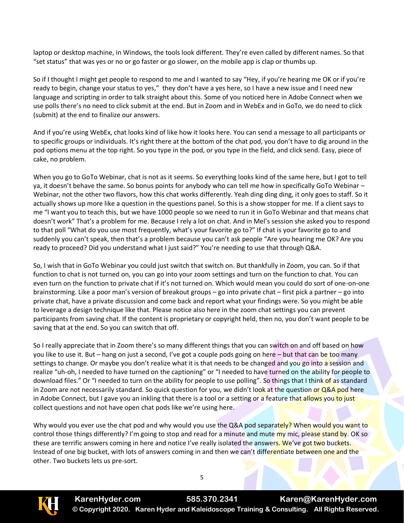laptop or desktop machine, in Windows, the tools look different. They're even called by different names. So that "set status" that was yes or no or go faster or go slower, on the mobile app is clap or thumbs up.

So if I thought I might get people to respond to me and I wanted to say "Hey, if you're hearing me OK or if you're ready to begin, change your status to yes," they don't have a yes here, so I have a new issue and I need new language and scripting in order to talk straight about this. Some of you noticed here in Adobe Connect when we use polls there's no need to click submit at the end. But in Zoom and in WebEx and in GoTo, we do need to click (submit) at the end to finalize our answers.

And if you're using WebEx, chat looks kind of like how it looks here. You can send a message to all participants or to specific groups or individuals. It's right there at the bottom of the chat pod, you don't have to dig around in the pod options menu at the top right. So you type in the pod, or you type in the field, and click send. Easy, piece of cake, no problem.

When you go to GoTo Webinar, chat is not as it seems. So everything looks kind of the same here, but I got to tell ya, it doesn't behave the same. So bonus points for anybody who can tell me how in specifically GoTo Webinar – Webinar, not the other two flavors, how this chat works differently. Yeah ding ding ding, it only goes to staff. So it actually shows up more like a question in the questions panel. So this is a show stopper for me. If a client says to me "I want you to teach this, but we have 1000 people so we need to run it in GoTo Webinar and that means chat doesn't work" That's a problem for me. Because I rely a lot on chat. And in Mel's session she asked you to respond to that poll "What do you use most frequently, what's your favorite go to?" If chat is your favorite go to and suddenly you can't speak, then that's a problem because you can't ask people "Are you hearing me OK? Are you ready to proceed? Did you understand what I just said?" You're needing to use that through Q&A.

So, I wish that in GoTo Webinar you could just switch that switch on. But thankfully in Zoom, you can. So if that function to chat is not turned on, you can go into your zoom settings and turn on the function to chat. You can even turn on the function to private chat if it's not turned on. Which would mean you could do sort of one-on-one brainstorming. Like a poor man's version of breakout groups – go into private chat – first pick a partner – go into private chat, have a private discussion and come back and report what your findings were. So you might be able to leverage a design technique like that. Please notice also here in the zoom chat settings you can prevent participants from saving chat. If the content is proprietary or copyright held, then no, you don't want people to be saving that at the end. So you can switch that off.

So I really appreciate that in Zoom there's so many different things that you can switch on and off based on how you like to use it. But – hang on just a second, I've got a couple pods going on here – but that can be too many settings to change. Or maybe you don't realize what it is that needs to be changed and you go into a session and realize "uh-oh, I needed to have turned on the captioning" or "I needed to have turned on the ability for people to download files." Or "I needed to turn on the ability for people to use polling". So things that I think of as standard in Zoom are not necessarily standard. So quick question for you, we didn't look at the question or Q&A pod here in Adobe Connect, but I gave you an inkling that there is a tool or a setting or a feature that allows you to just collect questions and not have open chat pods like we're using here.

Why would you ever use the chat pod and why would you use the Q&A pod separately? When would you want to control those things differently? I'm going to stop and read for a minute and mute my mic, please stand by. OK so these are terrific answers coming in here and notice I've really isolated the answers. We've got two buckets. Instead of one big bucket, with lots of answers coming in and then we can't differentiate between one and the other. Two buckets lets us pre-sort.

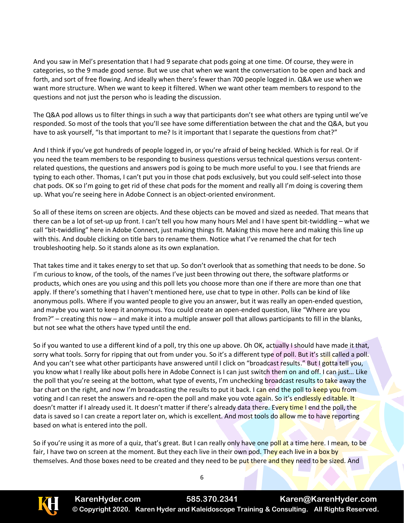And you saw in Mel's presentation that I had 9 separate chat pods going at one time. Of course, they were in categories, so the 9 made good sense. But we use chat when we want the conversation to be open and back and forth, and sort of free flowing. And ideally when there's fewer than 700 people logged in. Q&A we use when we want more structure. When we want to keep it filtered. When we want other team members to respond to the questions and not just the person who is leading the discussion.

The Q&A pod allows us to filter things in such a way that participants don't see what others are typing until we've responded. So most of the tools that you'll see have some differentiation between the chat and the Q&A, but you have to ask yourself, "Is that important to me? Is it important that I separate the questions from chat?"

And I think if you've got hundreds of people logged in, or you're afraid of being heckled. Which is for real. Or if you need the team members to be responding to business questions versus technical questions versus contentrelated questions, the questions and answers pod is going to be much more useful to you. I see that friends are typing to each other. Thomas, I can't put you in those chat pods exclusively, but you could self-select into those chat pods. OK so I'm going to get rid of these chat pods for the moment and really all I'm doing is covering them up. What you're seeing here in Adobe Connect is an object-oriented environment.

So all of these items on screen are objects. And these objects can be moved and sized as needed. That means that there can be a lot of set-up up front. I can't tell you how many hours Mel and I have spent bit-twiddling – what we call "bit-twiddling" here in Adobe Connect, just making things fit. Making this move here and making this line up with this. And double clicking on title bars to rename them. Notice what I've renamed the chat for tech troubleshooting help. So it stands alone as its own explanation.

That takes time and it takes energy to set that up. So don't overlook that as something that needs to be done. So I'm curious to know, of the tools, of the names I've just been throwing out there, the software platforms or products, which ones are you using and this poll lets you choose more than one if there are more than one that apply. If there's something that I haven't mentioned here, use chat to type in other. Polls can be kind of like anonymous polls. Where if you wanted people to give you an answer, but it was really an open-ended question, and maybe you want to keep it anonymous. You could create an open-ended question, like "Where are you from?" – creating this now – and make it into a multiple answer poll that allows participants to fill in the blanks, but not see what the others have typed until the end.

So if you wanted to use a different kind of a poll, try this one up above. Oh OK, actually I should have made it that, sorry what tools. Sorry for ripping that out from under you. So it's a different type of poll. But it's still called a poll. And you can't see what other participants have answered until I click on "broadcast results." But I gotta tell you, you know what I really like about polls here in Adobe Connect is I can just switch them on and off. I can just… Like the poll that you're seeing at the bottom, what type of events, I'm unchecking broadcast results to take away the bar chart on the right, and now I'm broadcasting the results to put it back. I can end the poll to keep you from voting and I can reset the answers and re-open the poll and make you vote again. So it's endlessly editable. It doesn't matter if I already used it. It doesn't matter if there's already data there. Every time I end the poll, the data is saved so I can create a report later on, which is excellent. And most tools do allow me to have reporting based on what is entered into the poll.

So if you're using it as more of a quiz, that's great. But I can really only have one poll at a time here. I mean, to be fair, I have two on screen at the moment. But they each live in their own pod. They each live in a box by themselves. And those boxes need to be created and they need to be put there and they need to be sized. And

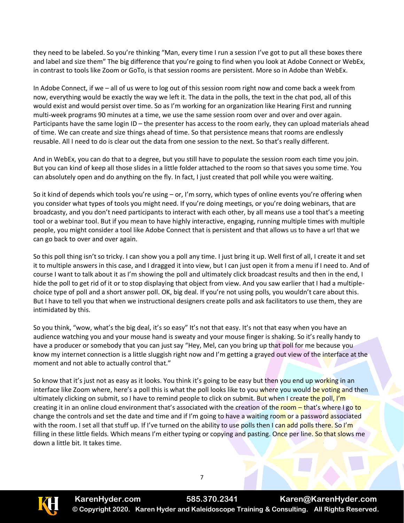they need to be labeled. So you're thinking "Man, every time I run a session I've got to put all these boxes there and label and size them" The big difference that you're going to find when you look at Adobe Connect or WebEx, in contrast to tools like Zoom or GoTo, is that session rooms are persistent. More so in Adobe than WebEx.

In Adobe Connect, if we – all of us were to log out of this session room right now and come back a week from now, everything would be exactly the way we left it. The data in the polls, the text in the chat pod, all of this would exist and would persist over time. So as I'm working for an organization like Hearing First and running multi-week programs 90 minutes at a time, we use the same session room over and over and over again. Participants have the same login ID – the presenter has access to the room early, they can upload materials ahead of time. We can create and size things ahead of time. So that persistence means that rooms are endlessly reusable. All I need to do is clear out the data from one session to the next. So that's really different.

And in WebEx, you can do that to a degree, but you still have to populate the session room each time you join. But you can kind of keep all those slides in a little folder attached to the room so that saves you some time. You can absolutely open and do anything on the fly. In fact, I just created that poll while you were waiting.

So it kind of depends which tools you're using – or, I'm sorry, which types of online events you're offering when you consider what types of tools you might need. If you're doing meetings, or you're doing webinars, that are broadcasty, and you don't need participants to interact with each other, by all means use a tool that's a meeting tool or a webinar tool. But if you mean to have highly interactive, engaging, running multiple times with multiple people, you might consider a tool like Adobe Connect that is persistent and that allows us to have a url that we can go back to over and over again.

So this poll thing isn't so tricky. I can show you a poll any time. I just bring it up. Well first of all, I create it and set it to multiple answers in this case, and I dragged it into view, but I can just open it from a menu if I need to. And of course I want to talk about it as I'm showing the poll and ultimately click broadcast results and then in the end, I hide the poll to get rid of it or to stop displaying that object from view. And you saw earlier that I had a multiplechoice type of poll and a short answer poll. OK, big deal. If you're not using polls, you wouldn't care about this. But I have to tell you that when we instructional designers create polls and ask facilitators to use them, they are intimidated by this.

So you think, "wow, what's the big deal, it's so easy" It's not that easy. It's not that easy when you have an audience watching you and your mouse hand is sweaty and your mouse finger is shaking. So it's really handy to have a producer or somebody that you can just say "Hey, Mel, can you bring up that poll for me because you know my internet connection is a little sluggish right now and I'm getting a grayed out view of the interface at the moment and not able to actually control that."

So know that it's just not as easy as it looks. You think it's going to be easy but then you end up working in an interface like Zoom where, here's a poll this is what the poll looks like to you where you would be voting and then ultimately clicking on submit, so I have to remind people to click on submit. But when I create the poll, I'm creating it in an online cloud environment that's associated with the creation of the room – that's where I go to change the controls and set the date and time and if I'm going to have a waiting room or a password associated with the room. I set all that stuff up. If I've turned on the ability to use polls then I can add polls there. So I'm filling in these little fields. Which means I'm either typing or copying and pasting. Once per line. So that slows me down a little bit. It takes time.

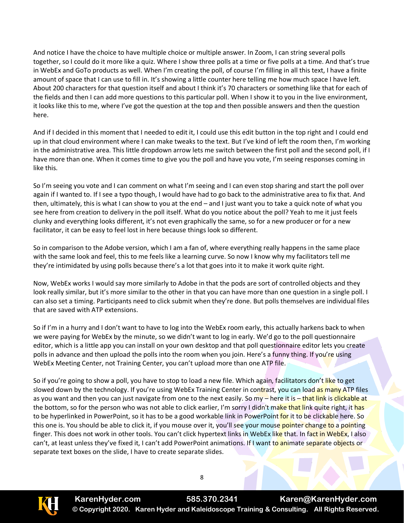And notice I have the choice to have multiple choice or multiple answer. In Zoom, I can string several polls together, so I could do it more like a quiz. Where I show three polls at a time or five polls at a time. And that's true in WebEx and GoTo products as well. When I'm creating the poll, of course I'm filling in all this text, I have a finite amount of space that I can use to fill in. It's showing a little counter here telling me how much space I have left. About 200 characters for that question itself and about I think it's 70 characters or something like that for each of the fields and then I can add more questions to this particular poll. When I show it to you in the live environment, it looks like this to me, where I've got the question at the top and then possible answers and then the question here.

And if I decided in this moment that I needed to edit it, I could use this edit button in the top right and I could end up in that cloud environment where I can make tweaks to the text. But I've kind of left the room then, I'm working in the administrative area. This little dropdown arrow lets me switch between the first poll and the second poll, if I have more than one. When it comes time to give you the poll and have you vote, I'm seeing responses coming in like this.

So I'm seeing you vote and I can comment on what I'm seeing and I can even stop sharing and start the poll over again if I wanted to. If I see a typo though, I would have had to go back to the administrative area to fix that. And then, ultimately, this is what I can show to you at the end – and I just want you to take a quick note of what you see here from creation to delivery in the poll itself. What do you notice about the poll? Yeah to me it just feels clunky and everything looks different, it's not even graphically the same, so for a new producer or for a new facilitator, it can be easy to feel lost in here because things look so different.

So in comparison to the Adobe version, which I am a fan of, where everything really happens in the same place with the same look and feel, this to me feels like a learning curve. So now I know why my facilitators tell me they're intimidated by using polls because there's a lot that goes into it to make it work quite right.

Now, WebEx works I would say more similarly to Adobe in that the pods are sort of controlled objects and they look really similar, but it's more similar to the other in that you can have more than one question in a single poll. I can also set a timing. Participants need to click submit when they're done. But polls themselves are individual files that are saved with ATP extensions.

So if I'm in a hurry and I don't want to have to log into the WebEx room early, this actually harkens back to when we were paying for WebEx by the minute, so we didn't want to log in early. We'd go to the poll questionnaire editor, which is a little app you can install on your own desktop and that poll questionnaire editor lets you create polls in advance and then upload the polls into the room when you join. Here's a funny thing. If you're using WebEx Meeting Center, not Training Center, you can't upload more than one ATP file.

So if you're going to show a poll, you have to stop to load a new file. Which again, facilitators don't like to get slowed down by the technology. If you're using WebEx Training Center in contrast, you can load as many ATP files as you want and then you can just navigate from one to the next easily. So my – here it is – that link is clickable at the bottom, so for the person who was not able to click earlier, I'm sorry I didn't make that link quite right, it has to be hyperlinked in PowerPoint, so it has to be a good workable link in PowerPoint for it to be clickable here. So this one is. You should be able to click it, if you mouse over it, you'll see your mouse pointer change to a pointing finger. This does not work in other tools. You can't click hypertext links in WebEx like that. In fact in WebEx, I also can't, at least unless they've fixed it, I can't add PowerPoint animations. If I want to animate separate objects or separate text boxes on the slide, I have to create separate slides.

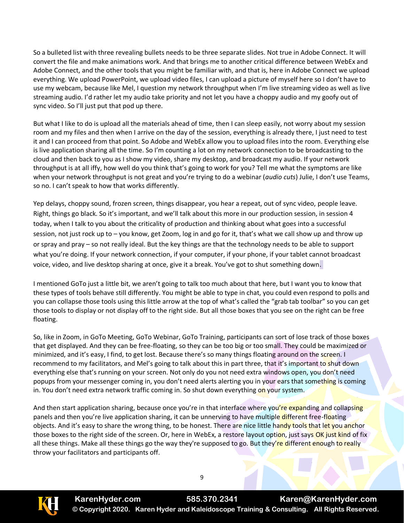So a bulleted list with three revealing bullets needs to be three separate slides. Not true in Adobe Connect. It will convert the file and make animations work. And that brings me to another critical difference between WebEx and Adobe Connect, and the other tools that you might be familiar with, and that is, here in Adobe Connect we upload everything. We upload PowerPoint, we upload video files, I can upload a picture of myself here so I don't have to use my webcam, because like Mel, I question my network throughput when I'm live streaming video as well as live streaming audio. I'd rather let my audio take priority and not let you have a choppy audio and my goofy out of sync video. So I'll just put that pod up there.

But what I like to do is upload all the materials ahead of time, then I can sleep easily, not worry about my session room and my files and then when I arrive on the day of the session, everything is already there, I just need to test it and I can proceed from that point. So Adobe and WebEx allow you to upload files into the room. Everything else is live application sharing all the time. So I'm counting a lot on my network connection to be broadcasting to the cloud and then back to you as I show my video, share my desktop, and broadcast my audio. If your network throughput is at all iffy, how well do you think that's going to work for you? Tell me what the symptoms are like when your network throughput is not great and you're trying to do a webinar (*audio cuts*) Julie, I don't use Teams, so no. I can't speak to how that works differently.

Yep delays, choppy sound, frozen screen, things disappear, you hear a repeat, out of sync video, people leave. Right, things go black. So it's important, and we'll talk about this more in our production session, in session 4 today, when I talk to you about the criticality of production and thinking about what goes into a successful session, not just rock up to – you know, get Zoom, log in and go for it, that's what we call show up and throw up or spray and pray – so not really ideal. But the key things are that the technology needs to be able to support what you're doing. If your network connection, if your computer, if your phone, if your tablet cannot broadcast voice, video, and live desktop sharing at once, give it a break. You've got to shut something down.

I mentioned GoTo just a little bit, we aren't going to talk too much about that here, but I want you to know that these types of tools behave still differently. You might be able to type in chat, you could even respond to polls and you can collapse those tools using this little arrow at the top of what's called the "grab tab toolbar" so you can get those tools to display or not display off to the right side. But all those boxes that you see on the right can be free floating.

So, like in Zoom, in GoTo Meeting, GoTo Webinar, GoTo Training, participants can sort of lose track of those boxes that get displayed. And they can be free-floating, so they can be too big or too small. They could be maximized or minimized, and it's easy, I find, to get lost. Because there's so many things floating around on the screen. I recommend to my facilitators, and Mel's going to talk about this in part three, that it's important to shut down everything else that's running on your screen. Not only do you not need extra windows open, you don't need popups from your messenger coming in, you don't need alerts alerting you in your ears that something is coming in. You don't need extra network traffic coming in. So shut down everything on your system.

And then start application sharing, because once you're in that interface where you're expanding and collapsing panels and then you're live application sharing, it can be unnerving to have multiple different free-floating objects. And it's easy to share the wrong thing, to be honest. There are nice little handy tools that let you anchor those boxes to the right side of the screen. Or, here in WebEx, a restore layout option, just says OK just kind of fix all these things. Make all these things go the way they're supposed to go. But they're different enough to really throw your facilitators and participants off.

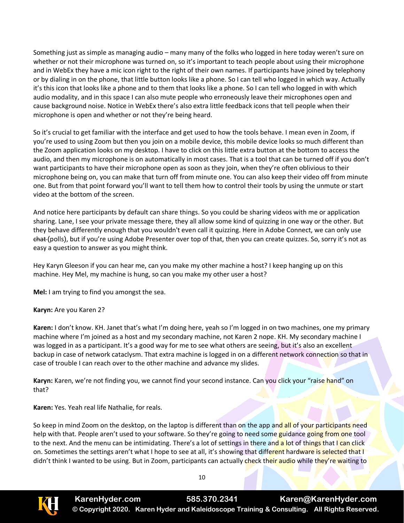Something just as simple as managing audio – many many of the folks who logged in here today weren't sure on whether or not their microphone was turned on, so it's important to teach people about using their microphone and in WebEx they have a mic icon right to the right of their own names. If participants have joined by telephony or by dialing in on the phone, that little button looks like a phone. So I can tell who logged in which way. Actually it's this icon that looks like a phone and to them that looks like a phone. So I can tell who logged in with which audio modality, and in this space I can also mute people who erroneously leave their microphones open and cause background noise. Notice in WebEx there's also extra little feedback icons that tell people when their microphone is open and whether or not they're being heard.

So it's crucial to get familiar with the interface and get used to how the tools behave. I mean even in Zoom, if you're used to using Zoom but then you join on a mobile device, this mobile device looks so much different than the Zoom application looks on my desktop. I have to click on this little extra button at the bottom to access the audio, and then my microphone is on automatically in most cases. That is a tool that can be turned off if you don't want participants to have their microphone open as soon as they join, when they're often oblivious to their microphone being on, you can make that turn off from minute one. You can also keep their video off from minute one. But from that point forward you'll want to tell them how to control their tools by using the unmute or start video at the bottom of the screen.

And notice here participants by default can share things. So you could be sharing videos with me or application sharing. Lane, I see your private message there, they all allow some kind of quizzing in one way or the other. But they behave differently enough that you wouldn't even call it quizzing. Here in Adobe Connect, we can only use chat (polls), but if you're using Adobe Presenter over top of that, then you can create quizzes. So, sorry it's not as easy a question to answer as you might think.

Hey Karyn Gleeson if you can hear me, can you make my other machine a host? I keep hanging up on this machine. Hey Mel, my machine is hung, so can you make my other user a host?

**Mel:** I am trying to find you amongst the sea.

## **Karyn:** Are you Karen 2?

**Karen:** I don't know. KH. Janet that's what I'm doing here, yeah so I'm logged in on two machines, one my primary machine where I'm joined as a host and my secondary machine, not Karen 2 nope. KH. My secondary machine I was logged in as a participant. It's a good way for me to see what others are seeing, but it's also an excellent backup in case of network cataclysm. That extra machine is logged in on a different network connection so that in case of trouble I can reach over to the other machine and advance my slides.

**Karyn:** Karen, we're not finding you, we cannot find your second instance. Can you click your "raise hand" on that?

**Karen:** Yes. Yeah real life Nathalie, for reals.

So keep in mind Zoom on the desktop, on the laptop is different than on the app and all of your participants need help with that. People aren't used to your software. So they're going to need some guidance going from one tool to the next. And the menu can be intimidating. There's a lot of settings in there and a lot of things that I can click on. Sometimes the settings aren't what I hope to see at all, it's showing that different hardware is selected that I didn't think I wanted to be using. But in Zoom, participants can actually check their audio while they're waiting to

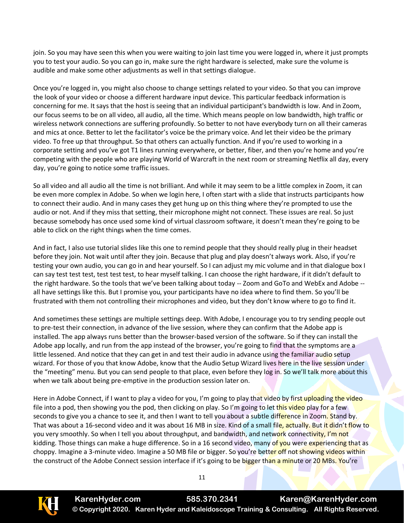join. So you may have seen this when you were waiting to join last time you were logged in, where it just prompts you to test your audio. So you can go in, make sure the right hardware is selected, make sure the volume is audible and make some other adjustments as well in that settings dialogue.

Once you're logged in, you might also choose to change settings related to your video. So that you can improve the look of your video or choose a different hardware input device. This particular feedback information is concerning for me. It says that the host is seeing that an individual participant's bandwidth is low. And in Zoom, our focus seems to be on all video, all audio, all the time. Which means people on low bandwidth, high traffic or wireless network connections are suffering profoundly. So better to not have everybody turn on all their cameras and mics at once. Better to let the facilitator's voice be the primary voice. And let their video be the primary video. To free up that throughput. So that others can actually function. And if you're used to working in a corporate setting and you've got T1 lines running everywhere, or better, fiber, and then you're home and you're competing with the people who are playing World of Warcraft in the next room or streaming Netflix all day, every day, you're going to notice some traffic issues.

So all video and all audio all the time is not brilliant. And while it may seem to be a little complex in Zoom, it can be even more complex in Adobe. So when we login here, I often start with a slide that instructs participants how to connect their audio. And in many cases they get hung up on this thing where they're prompted to use the audio or not. And if they miss that setting, their microphone might not connect. These issues are real. So just because somebody has once used some kind of virtual classroom software, it doesn't mean they're going to be able to click on the right things when the time comes.

And in fact, I also use tutorial slides like this one to remind people that they should really plug in their headset before they join. Not wait until after they join. Because that plug and play doesn't always work. Also, if you're testing your own audio, you can go in and hear yourself. So I can adjust my mic volume and in that dialogue box I can say test test test, test test test, to hear myself talking. I can choose the right hardware, if it didn't default to the right hardware. So the tools that we've been talking about today -- Zoom and GoTo and WebEx and Adobe -all have settings like this. But I promise you, your participants have no idea where to find them. So you'll be frustrated with them not controlling their microphones and video, but they don't know where to go to find it.

And sometimes these settings are multiple settings deep. With Adobe, I encourage you to try sending people out to pre-test their connection, in advance of the live session, where they can confirm that the Adobe app is installed. The app always runs better than the browser-based version of the software. So if they can install the Adobe app locally, and run from the app instead of the browser, you're going to find that the symptoms are a little lessened. And notice that they can get in and test their audio in advance using the familiar audio setup wizard. For those of you that know Adobe, know that the Audio Setup Wizard lives here in the live session under the "meeting" menu. But you can send people to that place, even before they log in. So we'll talk more about this when we talk about being pre-emptive in the production session later on.

Here in Adobe Connect, if I want to play a video for you, I'm going to play that video by first uploading the video file into a pod, then showing you the pod, then clicking on play. So I'm going to let this video play for a few seconds to give you a chance to see it, and then I want to tell you about a subtle difference in Zoom. Stand by. That was about a 16-second video and it was about 16 MB in size. Kind of a small file, actually. But it didn't flow to you very smoothly. So when I tell you about throughput, and bandwidth, and network connectivity, I'm not kidding. Those things can make a huge difference. So in a 16 second video, many of you were experiencing that as choppy. Imagine a 3-minute video. Imagine a 50 MB file or bigger. So you're better off not showing videos within the construct of the Adobe Connect session interface if it's going to be bigger than a minute or 20 MBs. You're

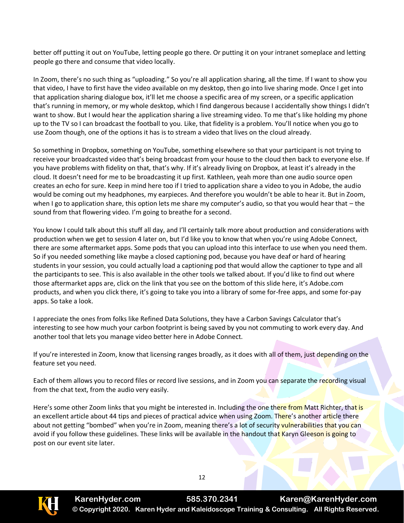better off putting it out on YouTube, letting people go there. Or putting it on your intranet someplace and letting people go there and consume that video locally.

In Zoom, there's no such thing as "uploading." So you're all application sharing, all the time. If I want to show you that video, I have to first have the video available on my desktop, then go into live sharing mode. Once I get into that application sharing dialogue box, it'll let me choose a specific area of my screen, or a specific application that's running in memory, or my whole desktop, which I find dangerous because I accidentally show things I didn't want to show. But I would hear the application sharing a live streaming video. To me that's like holding my phone up to the TV so I can broadcast the football to you. Like, that fidelity is a problem. You'll notice when you go to use Zoom though, one of the options it has is to stream a video that lives on the cloud already.

So something in Dropbox, something on YouTube, something elsewhere so that your participant is not trying to receive your broadcasted video that's being broadcast from your house to the cloud then back to everyone else. If you have problems with fidelity on that, that's why. If it's already living on Dropbox, at least it's already in the cloud. It doesn't need for me to be broadcasting it up first. Kathleen, yeah more than one audio source open creates an echo for sure. Keep in mind here too if I tried to application share a video to you in Adobe, the audio would be coming out my headphones, my earpieces. And therefore you wouldn't be able to hear it. But in Zoom, when I go to application share, this option lets me share my computer's audio, so that you would hear that – the sound from that flowering video. I'm going to breathe for a second.

You know I could talk about this stuff all day, and I'll certainly talk more about production and considerations with production when we get to session 4 later on, but I'd like you to know that when you're using Adobe Connect, there are some aftermarket apps. Some pods that you can upload into this interface to use when you need them. So if you needed something like maybe a closed captioning pod, because you have deaf or hard of hearing students in your session, you could actually load a captioning pod that would allow the captioner to type and all the participants to see. This is also available in the other tools we talked about. If you'd like to find out where those aftermarket apps are, click on the link that you see on the bottom of this slide here, it's Adobe.com products, and when you click there, it's going to take you into a library of some for-free apps, and some for-pay apps. So take a look.

I appreciate the ones from folks like Refined Data Solutions, they have a Carbon Savings Calculator that's interesting to see how much your carbon footprint is being saved by you not commuting to work every day. And another tool that lets you manage video better here in Adobe Connect.

If you're interested in Zoom, know that licensing ranges broadly, as it does with all of them, just depending on the feature set you need.

Each of them allows you to record files or record live sessions, and in Zoom you can separate the recording visual from the chat text, from the audio very easily.

Here's some other Zoom links that you might be interested in. Including the one there from Matt Richter, that is an excellent article about 44 tips and pieces of practical advice when using Zoom. There's another article there about not getting "bombed" when you're in Zoom, meaning there's a lot of security vulnerabilities that you can avoid if you follow these guidelines. These links will be available in the handout that Karyn Gleeson is going to post on our event site later.



**KarenHyder.com 585.370.2341 Karen@KarenHyder.com © Copyright 2020. Karen Hyder and Kaleidoscope Training & Consulting. All Rights Reserved.**